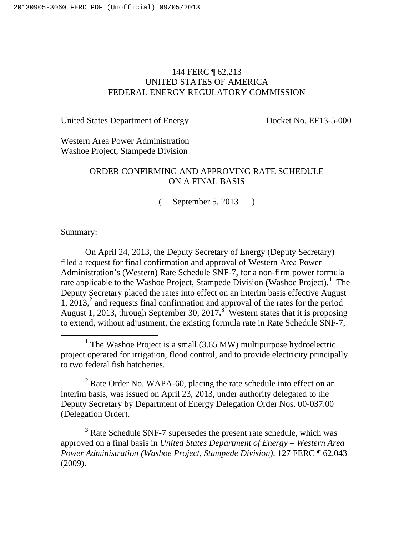# 144 FERC ¶ 62,213 UNITED STATES OF AMERICA FEDERAL ENERGY REGULATORY COMMISSION

United States Department of Energy Docket No. EF13-5-000

Western Area Power Administration Washoe Project, Stampede Division

# ORDER CONFIRMING AND APPROVING RATE SCHEDULE ON A FINAL BASIS

( September 5, 2013 )

## Summary:

On April 24, 2013, the Deputy Secretary of Energy (Deputy Secretary) filed a request for final confirmation and approval of Western Area Power Administration's (Western) Rate Schedule SNF-7, for a non-firm power formula rate applicable to the Washoe Project, Stampede Division (Washoe Project).**<sup>1</sup>** The Deputy Secretary placed the rates into effect on an interim basis effective August 1, 2013,**<sup>2</sup>** and requests final confirmation and approval of the rates for the period August 1, 2013, through September 30, 2017.<sup>3</sup> Western states that it is proposing to extend, without adjustment, the existing formula rate in Rate Schedule SNF-7,

<sup>2</sup> Rate Order No. WAPA-60, placing the rate schedule into effect on an interim basis, was issued on April 23, 2013, under authority delegated to the Deputy Secretary by Department of Energy Delegation Order Nos. 00-037.00 (Delegation Order).

<sup>3</sup> Rate Schedule SNF-7 supersedes the present rate schedule, which was approved on a final basis in *United States Department of Energy – Western Area Power Administration (Washoe Project, Stampede Division)*, 127 FERC ¶ 62,043 (2009).

<sup>&</sup>lt;u>1</u> <sup>1</sup> The Washoe Project is a small  $(3.65 \text{ MW})$  multipurpose hydroelectric project operated for irrigation, flood control, and to provide electricity principally to two federal fish hatcheries.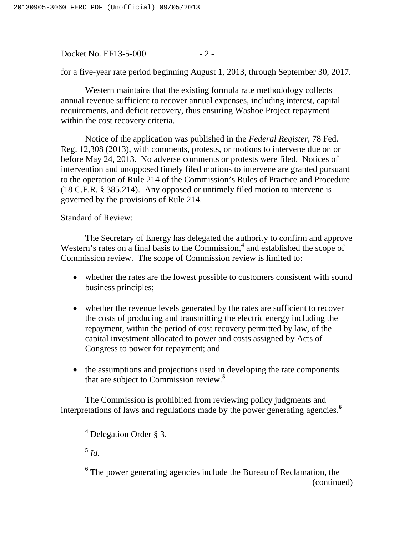Docket No. EF13-5-000 - 2 -

for a five-year rate period beginning August 1, 2013, through September 30, 2017.

Western maintains that the existing formula rate methodology collects annual revenue sufficient to recover annual expenses, including interest, capital requirements, and deficit recovery, thus ensuring Washoe Project repayment within the cost recovery criteria.

Notice of the application was published in the *Federal Register*, 78 Fed. Reg. 12,308 (2013), with comments, protests, or motions to intervene due on or before May 24, 2013. No adverse comments or protests were filed. Notices of intervention and unopposed timely filed motions to intervene are granted pursuant to the operation of Rule 214 of the Commission's Rules of Practice and Procedure (18 C.F.R. § 385.214). Any opposed or untimely filed motion to intervene is governed by the provisions of Rule 214.

## Standard of Review:

The Secretary of Energy has delegated the authority to confirm and approve Western's rates on a final basis to the Commission,<sup>4</sup> and established the scope of Commission review. The scope of Commission review is limited to:

- whether the rates are the lowest possible to customers consistent with sound business principles;
- whether the revenue levels generated by the rates are sufficient to recover the costs of producing and transmitting the electric energy including the repayment, within the period of cost recovery permitted by law, of the capital investment allocated to power and costs assigned by Acts of Congress to power for repayment; and
- the assumptions and projections used in developing the rate components that are subject to Commission review.**<sup>5</sup>**

The Commission is prohibited from reviewing policy judgments and interpretations of laws and regulations made by the power generating agencies.**<sup>6</sup>**

 $5$   $Id.$ 

<sup>6</sup> The power generating agencies include the Bureau of Reclamation, the (continued)

**<sup>4</sup>** Delegation Order § 3.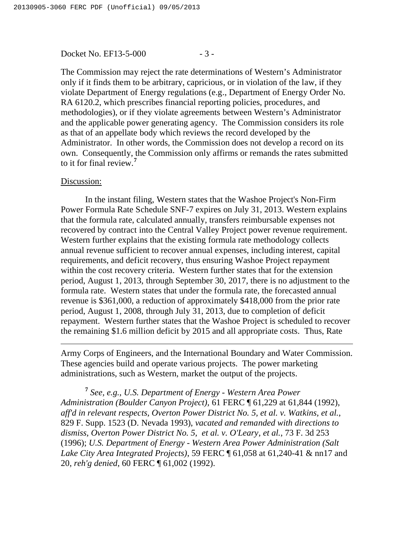### Docket No. EF13-5-000 - 3 -

The Commission may reject the rate determinations of Western's Administrator only if it finds them to be arbitrary, capricious, or in violation of the law, if they violate Department of Energy regulations (e.g., Department of Energy Order No. RA 6120.2, which prescribes financial reporting policies, procedures, and methodologies), or if they violate agreements between Western's Administrator and the applicable power generating agency. The Commission considers its role as that of an appellate body which reviews the record developed by the Administrator. In other words, the Commission does not develop a record on its own. Consequently, the Commission only affirms or remands the rates submitted to it for final review.**<sup>7</sup>**

#### Discussion:

 $\overline{a}$ 

In the instant filing, Western states that the Washoe Project's Non-Firm Power Formula Rate Schedule SNF-7 expires on July 31, 2013. Western explains that the formula rate, calculated annually, transfers reimbursable expenses not recovered by contract into the Central Valley Project power revenue requirement. Western further explains that the existing formula rate methodology collects annual revenue sufficient to recover annual expenses, including interest, capital requirements, and deficit recovery, thus ensuring Washoe Project repayment within the cost recovery criteria. Western further states that for the extension period, August 1, 2013, through September 30, 2017, there is no adjustment to the formula rate. Western states that under the formula rate, the forecasted annual revenue is \$361,000, a reduction of approximately \$418,000 from the prior rate period, August 1, 2008, through July 31, 2013, due to completion of deficit repayment. Western further states that the Washoe Project is scheduled to recover the remaining \$1.6 million deficit by 2015 and all appropriate costs. Thus, Rate

Army Corps of Engineers, and the International Boundary and Water Commission. These agencies build and operate various projects. The power marketing administrations, such as Western, market the output of the projects.

**<sup>7</sup>** *See, e.g., U.S. Department of Energy - Western Area Power Administration (Boulder Canyon Project),* 61 FERC ¶ 61,229 at 61,844 (1992), *aff'd in relevant respects, Overton Power District No. 5, et al. v. Watkins, et al.*, 829 F. Supp. 1523 (D. Nevada 1993), *vacated and remanded with directions to dismiss, Overton Power District No. 5, et al. v. O'Leary, et al.*, 73 F. 3d 253 (1996); *U.S. Department of Energy - Western Area Power Administration (Salt Lake City Area Integrated Projects)*, 59 FERC ¶ 61,058 at 61,240-41 & nn17 and 20, *reh'g denied*, 60 FERC ¶ 61,002 (1992).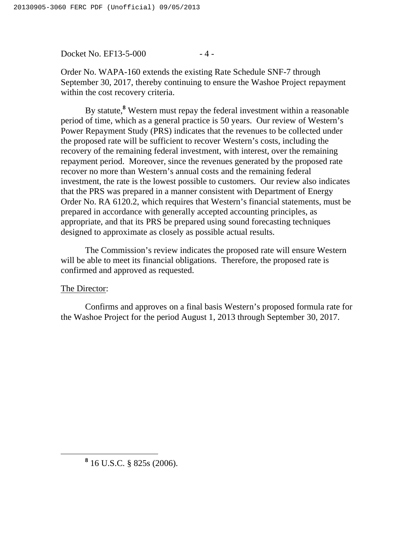Docket No. EF13-5-000 - 4 -

Order No. WAPA-160 extends the existing Rate Schedule SNF-7 through September 30, 2017, thereby continuing to ensure the Washoe Project repayment within the cost recovery criteria.

By statute,**<sup>8</sup>** Western must repay the federal investment within a reasonable period of time, which as a general practice is 50 years. Our review of Western's Power Repayment Study (PRS) indicates that the revenues to be collected under the proposed rate will be sufficient to recover Western's costs, including the recovery of the remaining federal investment, with interest, over the remaining repayment period. Moreover, since the revenues generated by the proposed rate recover no more than Western's annual costs and the remaining federal investment, the rate is the lowest possible to customers. Our review also indicates that the PRS was prepared in a manner consistent with Department of Energy Order No. RA 6120.2, which requires that Western's financial statements, must be prepared in accordance with generally accepted accounting principles, as appropriate, and that its PRS be prepared using sound forecasting techniques designed to approximate as closely as possible actual results.

The Commission's review indicates the proposed rate will ensure Western will be able to meet its financial obligations. Therefore, the proposed rate is confirmed and approved as requested.

## The Director:

Confirms and approves on a final basis Western's proposed formula rate for the Washoe Project for the period August 1, 2013 through September 30, 2017.

**<sup>8</sup>** 16 U.S.C. § 825s (2006).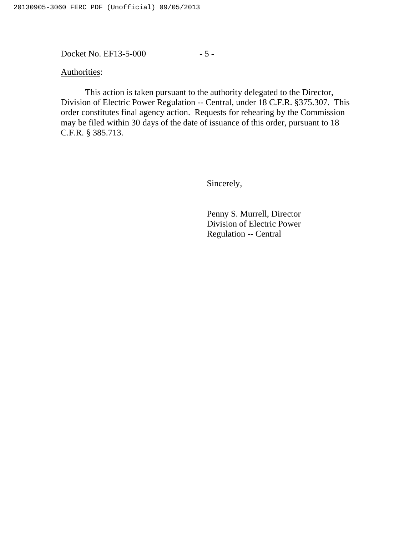Docket No. EF13-5-000 - 5 -

Authorities:

This action is taken pursuant to the authority delegated to the Director, Division of Electric Power Regulation -- Central, under 18 C.F.R. §375.307. This order constitutes final agency action. Requests for rehearing by the Commission may be filed within 30 days of the date of issuance of this order, pursuant to 18 C.F.R. § 385.713.

Sincerely,

Penny S. Murrell, Director Division of Electric Power Regulation -- Central